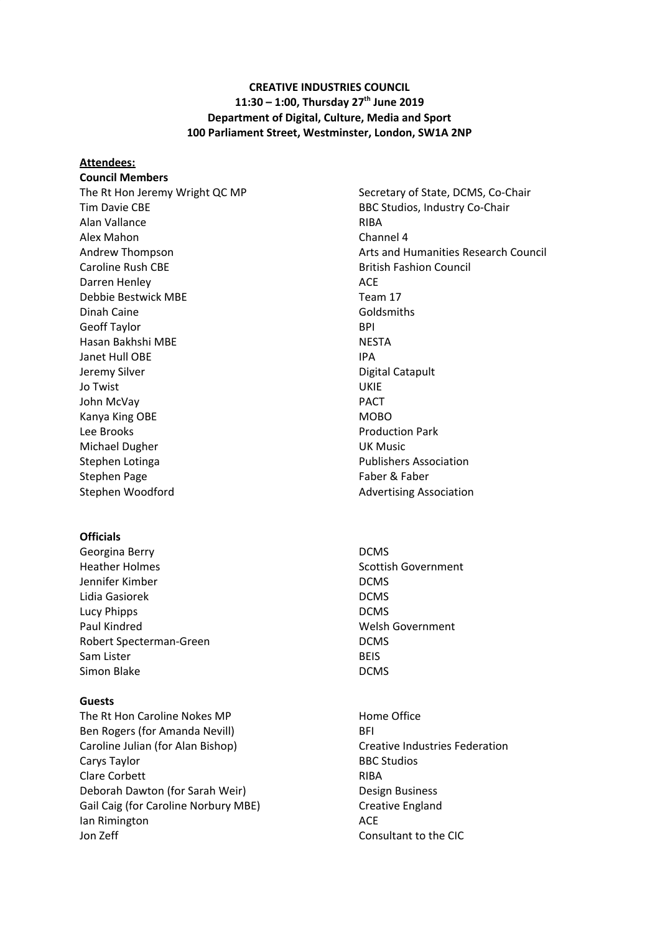### **CREATIVE INDUSTRIES COUNCIL 11:30 – 1:00, Thursday 27 th June 2019 Department of Digital, Culture, Media and Sport 100 Parliament Street, Westminster, London, SW1A 2NP**

**Attendees: Council Members** Tim Davie CBE **BBC Studios, Industry Co-Chair** BBC Studios, Industry Co-Chair Alan Vallance **RIBA** Alex Mahon **Channel 4** Caroline Rush CBE British Fashion Council Darren Henley **ACE** Debbie Bestwick MBE Team 17 Dinah Caine Goldsmiths Geoff Taylor **BPI** Hasan Bakhshi MBE NESTA Janet Hull OBE **IPA** Jeremy Silver **Digital** Catapult Jo Twist UKIE John McVay **PACT** Kanya King OBE MOBO Lee Brooks **Production Park** Michael Dugher **Nichael Dugher UK Music** Stephen Lotinga **Publishers Association** Stephen Page Faber & Faber & Faber & Faber Stephen Woodford **Advertising Association** Advertising Association

#### **Officials**

Georgina Berry **DCMS** Heather Holmes **Scottish Government Scottish Government** Jennifer Kimber DCMS Lidia Gasiorek **DCMS** Lucy Phipps **DCMS** Paul Kindred Welsh Government Robert Specterman-Green and DCMS Sam Lister **BEIS** Simon Blake DCMS

#### **Guests**

The Rt Hon Caroline Nokes MP **Home Office** Ben Rogers (for Amanda Nevill) BFI Caroline Julian (for Alan Bishop) Creative Industries Federation Carys Taylor **BBC Studios** Clare Corbett **RIBA** Deborah Dawton (for Sarah Weir) Design Business Gail Caig (for Caroline Norbury MBE) Creative England Ian Rimington **ACE** Jon Zeff Consultant to the CIC

The Rt Hon Jeremy Wright QC MP Secretary of State, DCMS, Co-Chair Andrew Thompson Arts and Humanities Research Council

- 
-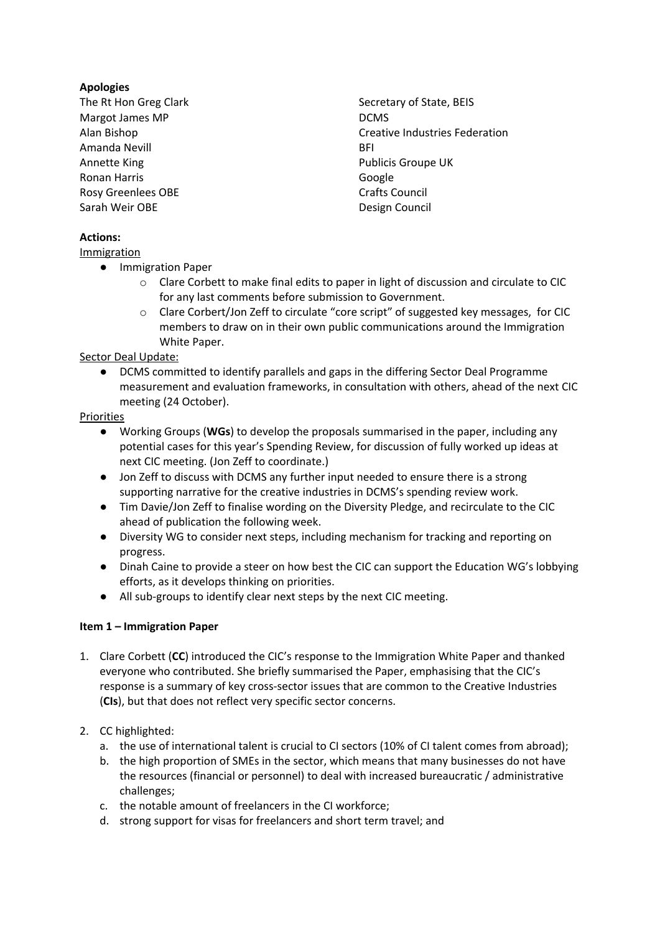# **Apologies**

- The Rt Hon Greg Clark Secretary of State, BEIS Margot James MP DCMS Amanda Nevill and the contract of the BFI and the BFI and the BFI and the BFI and the BFI and the BFI and the BFI Annette King **Publicis Groupe UK** Ronan Harris **Google** Rosy Greenlees OBE Crafts Council Sarah Weir OBE Design Council
- Alan Bishop Creative Industries Federation

## **Actions:**

**Immigration** 

- Immigration Paper
	- o Clare Corbett to make final edits to paper in light of discussion and circulate to CIC for any last comments before submission to Government.
	- o Clare Corbert/Jon Zeff to circulate "core script" of suggested key messages, for CIC members to draw on in their own public communications around the Immigration White Paper.

Sector Deal Update:

DCMS committed to identify parallels and gaps in the differing Sector Deal Programme measurement and evaluation frameworks, in consultation with others, ahead of the next CIC meeting (24 October).

### Priorities

- Working Groups (**WGs**) to develop the proposals summarised in the paper, including any potential cases for this year's Spending Review, for discussion of fully worked up ideas at next CIC meeting. (Jon Zeff to coordinate.)
- Jon Zeff to discuss with DCMS any further input needed to ensure there is a strong supporting narrative for the creative industries in DCMS's spending review work.
- Tim Davie/Jon Zeff to finalise wording on the Diversity Pledge, and recirculate to the CIC ahead of publication the following week.
- Diversity WG to consider next steps, including mechanism for tracking and reporting on progress.
- Dinah Caine to provide a steer on how best the CIC can support the Education WG's lobbying efforts, as it develops thinking on priorities.
- All sub-groups to identify clear next steps by the next CIC meeting.

## **Item 1 – Immigration Paper**

- 1. Clare Corbett (**CC**) introduced the CIC's response to the Immigration White Paper and thanked everyone who contributed. She briefly summarised the Paper, emphasising that the CIC's response is a summary of key cross-sector issues that are common to the Creative Industries (**CIs**), but that does not reflect very specific sector concerns.
- 2. CC highlighted:
	- a. the use of international talent is crucial to CI sectors (10% of CI talent comes from abroad);
	- b. the high proportion of SMEs in the sector, which means that many businesses do not have the resources (financial or personnel) to deal with increased bureaucratic / administrative challenges;
	- c. the notable amount of freelancers in the CI workforce;
	- d. strong support for visas for freelancers and short term travel; and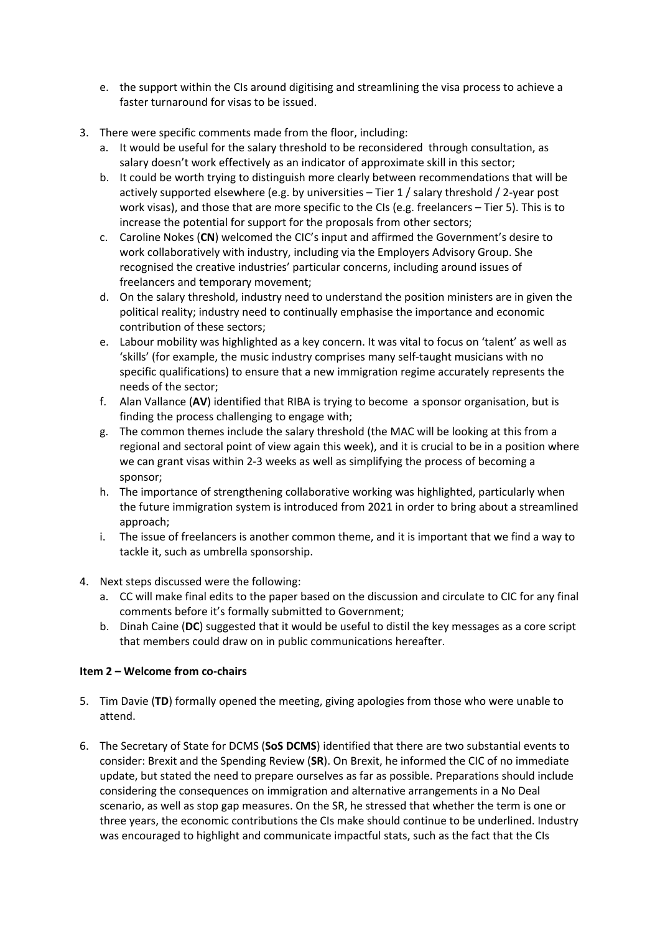- e. the support within the CIs around digitising and streamlining the visa process to achieve a faster turnaround for visas to be issued.
- 3. There were specific comments made from the floor, including:
	- a. It would be useful for the salary threshold to be reconsidered through consultation, as salary doesn't work effectively as an indicator of approximate skill in this sector;
	- b. It could be worth trying to distinguish more clearly between recommendations that will be actively supported elsewhere (e.g. by universities – Tier 1 / salary threshold / 2-year post work visas), and those that are more specific to the CIs (e.g. freelancers – Tier 5). This is to increase the potential for support for the proposals from other sectors;
	- c. Caroline Nokes (**CN**) welcomed the CIC's input and affirmed the Government's desire to work collaboratively with industry, including via the Employers Advisory Group. She recognised the creative industries' particular concerns, including around issues of freelancers and temporary movement;
	- d. On the salary threshold, industry need to understand the position ministers are in given the political reality; industry need to continually emphasise the importance and economic contribution of these sectors;
	- e. Labour mobility was highlighted as a key concern. It was vital to focus on 'talent' as well as 'skills' (for example, the music industry comprises many self-taught musicians with no specific qualifications) to ensure that a new immigration regime accurately represents the needs of the sector;
	- f. Alan Vallance (**AV**) identified that RIBA is trying to become a sponsor organisation, but is finding the process challenging to engage with;
	- g. The common themes include the salary threshold (the MAC will be looking at this from a regional and sectoral point of view again this week), and it is crucial to be in a position where we can grant visas within 2-3 weeks as well as simplifying the process of becoming a sponsor;
	- h. The importance of strengthening collaborative working was highlighted, particularly when the future immigration system is introduced from 2021 in order to bring about a streamlined approach;
	- i. The issue of freelancers is another common theme, and it is important that we find a way to tackle it, such as umbrella sponsorship.
- 4. Next steps discussed were the following:
	- a. CC will make final edits to the paper based on the discussion and circulate to CIC for any final comments before it's formally submitted to Government;
	- b. Dinah Caine (**DC**) suggested that it would be useful to distil the key messages as a core script that members could draw on in public communications hereafter.

## **Item 2 – Welcome from co-chairs**

- 5. Tim Davie (**TD**) formally opened the meeting, giving apologies from those who were unable to attend.
- 6. The Secretary of State for DCMS (**SoS DCMS**) identified that there are two substantial events to consider: Brexit and the Spending Review (**SR**). On Brexit, he informed the CIC of no immediate update, but stated the need to prepare ourselves as far as possible. Preparations should include considering the consequences on immigration and alternative arrangements in a No Deal scenario, as well as stop gap measures. On the SR, he stressed that whether the term is one or three years, the economic contributions the CIs make should continue to be underlined. Industry was encouraged to highlight and communicate impactful stats, such as the fact that the CIs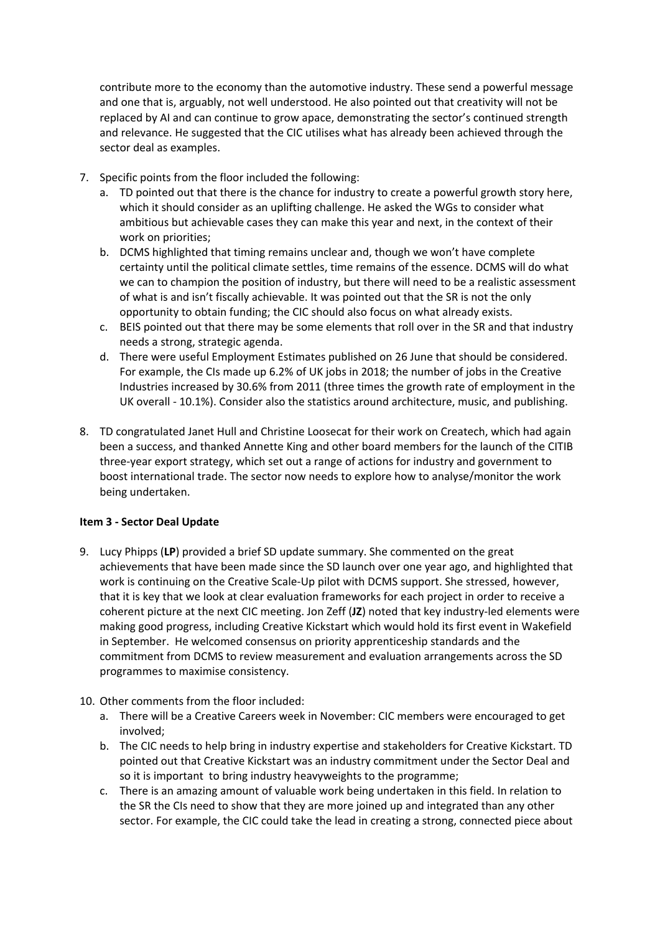contribute more to the economy than the automotive industry. These send a powerful message and one that is, arguably, not well understood. He also pointed out that creativity will not be replaced by AI and can continue to grow apace, demonstrating the sector's continued strength and relevance. He suggested that the CIC utilises what has already been achieved through the sector deal as examples.

- 7. Specific points from the floor included the following:
	- a. TD pointed out that there is the chance for industry to create a powerful growth story here, which it should consider as an uplifting challenge. He asked the WGs to consider what ambitious but achievable cases they can make this year and next, in the context of their work on priorities;
	- b. DCMS highlighted that timing remains unclear and, though we won't have complete certainty until the political climate settles, time remains of the essence. DCMS will do what we can to champion the position of industry, but there will need to be a realistic assessment of what is and isn't fiscally achievable. It was pointed out that the SR is not the only opportunity to obtain funding; the CIC should also focus on what already exists.
	- c. BEIS pointed out that there may be some elements that roll over in the SR and that industry needs a strong, strategic agenda.
	- d. There were useful Employment Estimates published on 26 June that should be considered. For example, the CIs made up 6.2% of UK jobs in 2018; the number of jobs in the Creative Industries increased by 30.6% from 2011 (three times the growth rate of employment in the UK overall - 10.1%). Consider also the statistics around architecture, music, and publishing.
- 8. TD congratulated Janet Hull and Christine Loosecat for their work on Createch, which had again been a success, and thanked Annette King and other board members for the launch of the CITIB three-year export strategy, which set out a range of actions for industry and government to boost international trade. The sector now needs to explore how to analyse/monitor the work being undertaken.

## **Item 3 - Sector Deal Update**

- 9. Lucy Phipps (**LP**) provided a brief SD update summary. She commented on the great achievements that have been made since the SD launch over one year ago, and highlighted that work is continuing on the Creative Scale-Up pilot with DCMS support. She stressed, however, that it is key that we look at clear evaluation frameworks for each project in order to receive a coherent picture at the next CIC meeting. Jon Zeff (**JZ**) noted that key industry-led elements were making good progress, including Creative Kickstart which would hold its first event in Wakefield in September. He welcomed consensus on priority apprenticeship standards and the commitment from DCMS to review measurement and evaluation arrangements across the SD programmes to maximise consistency.
- 10. Other comments from the floor included:
	- a. There will be a Creative Careers week in November: CIC members were encouraged to get involved;
	- b. The CIC needs to help bring in industry expertise and stakeholders for Creative Kickstart. TD pointed out that Creative Kickstart was an industry commitment under the Sector Deal and so it is important to bring industry heavyweights to the programme;
	- c. There is an amazing amount of valuable work being undertaken in this field. In relation to the SR the CIs need to show that they are more joined up and integrated than any other sector. For example, the CIC could take the lead in creating a strong, connected piece about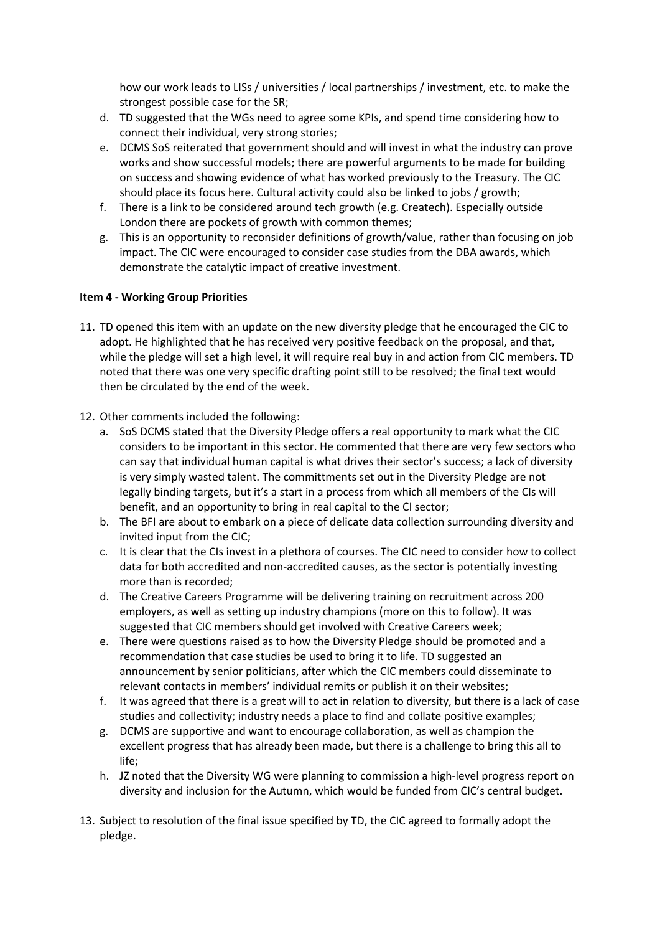how our work leads to LISs / universities / local partnerships / investment, etc. to make the strongest possible case for the SR;

- d. TD suggested that the WGs need to agree some KPIs, and spend time considering how to connect their individual, very strong stories;
- e. DCMS SoS reiterated that government should and will invest in what the industry can prove works and show successful models; there are powerful arguments to be made for building on success and showing evidence of what has worked previously to the Treasury. The CIC should place its focus here. Cultural activity could also be linked to jobs / growth;
- f. There is a link to be considered around tech growth (e.g. Createch). Especially outside London there are pockets of growth with common themes;
- g. This is an opportunity to reconsider definitions of growth/value, rather than focusing on job impact. The CIC were encouraged to consider case studies from the DBA awards, which demonstrate the catalytic impact of creative investment.

### **Item 4 - Working Group Priorities**

- 11. TD opened this item with an update on the new diversity pledge that he encouraged the CIC to adopt. He highlighted that he has received very positive feedback on the proposal, and that, while the pledge will set a high level, it will require real buy in and action from CIC members. TD noted that there was one very specific drafting point still to be resolved; the final text would then be circulated by the end of the week.
- 12. Other comments included the following:
	- a. SoS DCMS stated that the Diversity Pledge offers a real opportunity to mark what the CIC considers to be important in this sector. He commented that there are very few sectors who can say that individual human capital is what drives their sector's success; a lack of diversity is very simply wasted talent. The committments set out in the Diversity Pledge are not legally binding targets, but it's a start in a process from which all members of the CIs will benefit, and an opportunity to bring in real capital to the CI sector;
	- b. The BFI are about to embark on a piece of delicate data collection surrounding diversity and invited input from the CIC;
	- c. It is clear that the CIs invest in a plethora of courses. The CIC need to consider how to collect data for both accredited and non-accredited causes, as the sector is potentially investing more than is recorded;
	- d. The Creative Careers Programme will be delivering training on recruitment across 200 employers, as well as setting up industry champions (more on this to follow). It was suggested that CIC members should get involved with Creative Careers week;
	- e. There were questions raised as to how the Diversity Pledge should be promoted and a recommendation that case studies be used to bring it to life. TD suggested an announcement by senior politicians, after which the CIC members could disseminate to relevant contacts in members' individual remits or publish it on their websites;
	- f. It was agreed that there is a great will to act in relation to diversity, but there is a lack of case studies and collectivity; industry needs a place to find and collate positive examples;
	- g. DCMS are supportive and want to encourage collaboration, as well as champion the excellent progress that has already been made, but there is a challenge to bring this all to life;
	- h. JZ noted that the Diversity WG were planning to commission a high-level progress report on diversity and inclusion for the Autumn, which would be funded from CIC's central budget.
- 13. Subject to resolution of the final issue specified by TD, the CIC agreed to formally adopt the pledge.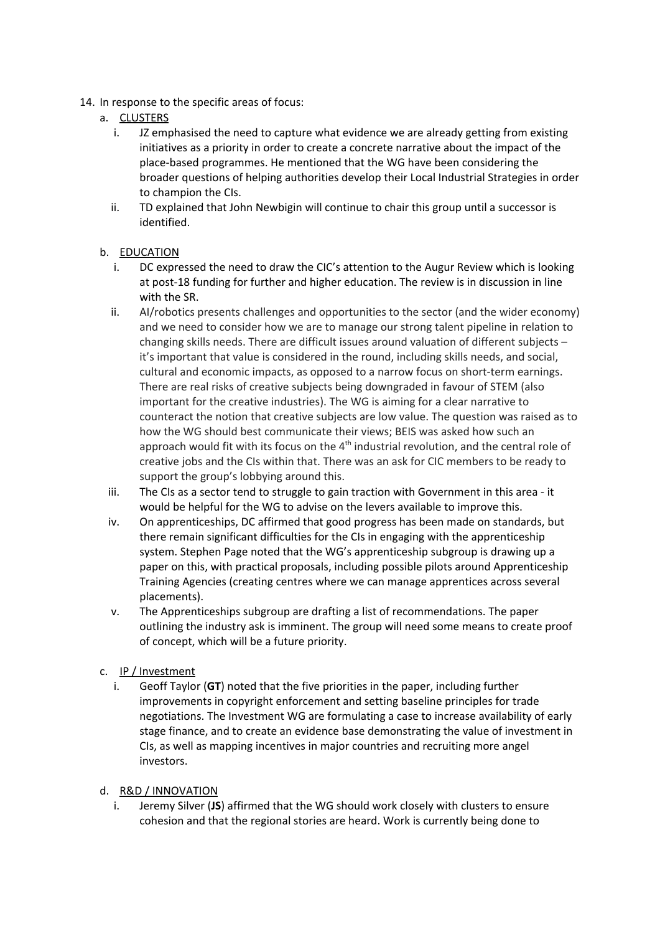- 14. In response to the specific areas of focus:
	- a. CLUSTERS
		- i. JZ emphasised the need to capture what evidence we are already getting from existing initiatives as a priority in order to create a concrete narrative about the impact of the place-based programmes. He mentioned that the WG have been considering the broader questions of helping authorities develop their Local Industrial Strategies in order to champion the CIs.
		- ii. TD explained that John Newbigin will continue to chair this group until a successor is identified.

### b. EDUCATION

- i. DC expressed the need to draw the CIC's attention to the Augur Review which is looking at post-18 funding for further and higher education. The review is in discussion in line with the SR.
- ii. AI/robotics presents challenges and opportunities to the sector (and the wider economy) and we need to consider how we are to manage our strong talent pipeline in relation to changing skills needs. There are difficult issues around valuation of different subjects – it's important that value is considered in the round, including skills needs, and social, cultural and economic impacts, as opposed to a narrow focus on short-term earnings. There are real risks of creative subjects being downgraded in favour of STEM (also important for the creative industries). The WG is aiming for a clear narrative to counteract the notion that creative subjects are low value. The question was raised as to how the WG should best communicate their views; BEIS was asked how such an approach would fit with its focus on the 4<sup>th</sup> industrial revolution, and the central role of creative jobs and the CIs within that. There was an ask for CIC members to be ready to support the group's lobbying around this.
- iii. The CIs as a sector tend to struggle to gain traction with Government in this area it would be helpful for the WG to advise on the levers available to improve this.
- iv. On apprenticeships, DC affirmed that good progress has been made on standards, but there remain significant difficulties for the CIs in engaging with the apprenticeship system. Stephen Page noted that the WG's apprenticeship subgroup is drawing up a paper on this, with practical proposals, including possible pilots around Apprenticeship Training Agencies (creating centres where we can manage apprentices across several placements).
- v. The Apprenticeships subgroup are drafting a list of recommendations. The paper outlining the industry ask is imminent. The group will need some means to create proof of concept, which will be a future priority.
- c. IP / Investment
	- i. Geoff Taylor (**GT**) noted that the five priorities in the paper, including further improvements in copyright enforcement and setting baseline principles for trade negotiations. The Investment WG are formulating a case to increase availability of early stage finance, and to create an evidence base demonstrating the value of investment in CIs, as well as mapping incentives in major countries and recruiting more angel investors.

#### d. R&D / INNOVATION

i. Jeremy Silver (**JS**) affirmed that the WG should work closely with clusters to ensure cohesion and that the regional stories are heard. Work is currently being done to